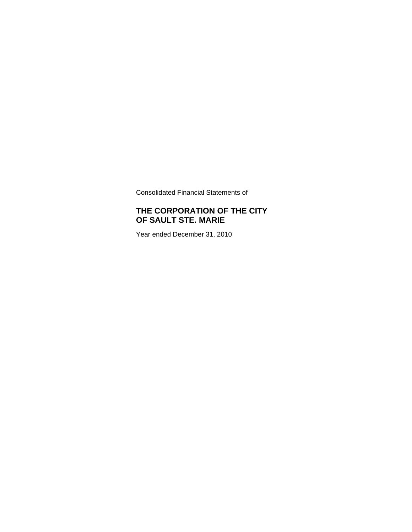Consolidated Financial Statements of

## **THE CORPORATION OF THE CITY OF SAULT STE. MARIE**

Year ended December 31, 2010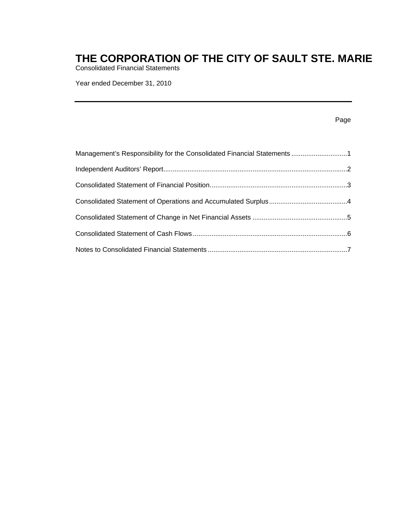Consolidated Financial Statements

Year ended December 31, 2010

### Page

| Management's Responsibility for the Consolidated Financial Statements 1 |  |
|-------------------------------------------------------------------------|--|
|                                                                         |  |
|                                                                         |  |
|                                                                         |  |
|                                                                         |  |
|                                                                         |  |
|                                                                         |  |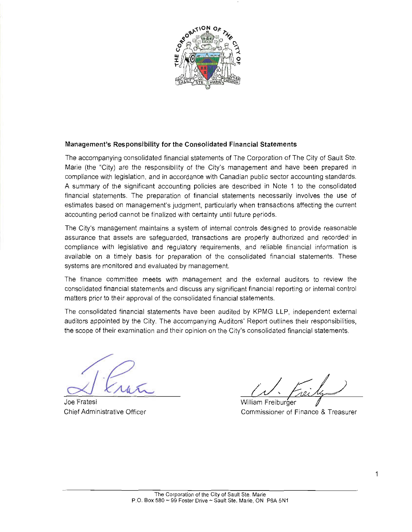

### Management's Responsibility for the Consolidated Financial Statements

The accompanying consolidated financial statements of The Corporation of The City of Sault Ste. Marie (the "City) are the responsibility of the City's management and have been prepared in compliance with legislation, and in accordance with Canadian public sector accounting standards. A summary of the significant accounting policies are described in Note 1 to the consolidated financial statements. The preparation of financial statements necessarily involves the use of estimates based on management's judgment, particularly when transactions affecting the current accounting period cannot be finalized with certainty until future periods.

The City's management maintains a system of internal controls designed to provide reasonable assurance that assets are safeguarded, transactions are properly authorized and recorded in compliance with legislative and regulatory requirements, and reliable financial information is available on a timely basis for preparation of the consolidated financial statements. These systems are monitored and evaluated by management.

The finance committee meets with management and the external auditors to review the consolidated financial statements and discuss any significant financial reporting or internal control matters prior to their approval of the consolidated financial statements.

The consolidated financial statements have been audited by KPMG LLP, independent external auditors appointed by the City. The accompanying Auditors' Report outlines their responsibilities, the scope of their examination and their opinion on the City's consolidated financial statements.

Joe Fratesi Chief Administrative Officer

William Freiburger Commissioner of Finance & Treasurer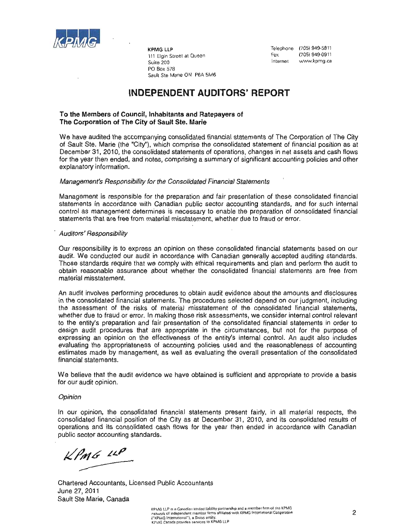

**KPMG LLP** 111 Elgin Street at Queen Suite 200 PO Box 578 Sault Ste Marie ON P6A 5M6

Telephone (705) 949-5811 Fax (705) 949-0911 www.kpmg.ca Internet

## **INDEPENDENT AUDITORS' REPORT**

#### To the Members of Council, Inhabitants and Ratepayers of The Corporation of The City of Sault Ste. Marie

We have audited the accompanying consolidated financial statements of The Corporation of The City of Sault Ste. Marie (the "City"), which comprise the consolidated statement of financial position as at December 31, 2010, the consolidated statements of operations, changes in net assets and cash flows for the year then ended, and notes, comprising a summary of significant accounting policies and other explanatory information.

#### Management's Responsibility for the Consolidated Financial Statements

Management is responsible for the preparation and fair presentation of these consolidated financial statements in accordance with Canadian public sector accounting standards, and for such internal control as management determines is necessary to enable the preparation of consolidated financial statements that are free from material misstatement, whether due to fraud or error.

#### Auditors' Responsibility

Our responsibility is to express an opinion on these consolidated financial statements based on our audit. We conducted our audit in accordance with Canadian generally accepted auditing standards. Those standards require that we comply with ethical requirements and plan and perform the audit to obtain reasonable assurance about whether the consolidated financial statements are free from material misstatement.

An audit involves performing procedures to obtain audit evidence about the amounts and disclosures in the consolidated financial statements. The procedures selected depend on our judgment, including the assessment of the risks of material misstatement of the consolidated financial statements, whether due to fraud or error. In making those risk assessments, we consider internal control relevant to the entity's preparation and fair presentation of the consolidated financial statements in order to design audit procedures that are appropriate in the circumstances, but not for the purpose of expressing an opinion on the effectiveness of the entity's internal control. An audit also includes evaluating the appropriateness of accounting policies used and the reasonableness of accounting estimates made by management, as well as evaluating the overall presentation of the consolidated financial statements.

We believe that the audit evidence we have obtained is sufficient and appropriate to provide a basis for our audit opinion.

#### Opinion

In our opinion, the consolidated financial statements present fairly, in all material respects, the consolidated financial position of the City as at December 31, 2010, and its consolidated results of operations and its consolidated cash flows for the year then ended in accordance with Canadian public sector accounting standards.

 $k$ *PMG*  $IP$ 

Chartered Accountants, Licensed Public Accountants June 27, 2011 Sault Ste Marie, Canada

> KPMG I.LP is a Canadian limited liability partnership and a member firm of the KPMG nativork of independent member firms affiliated with KPMG International Cooperative<br>I "KPMG International"), a Swiss entity.<br>KPMG Canada provides services to KPMG LLP.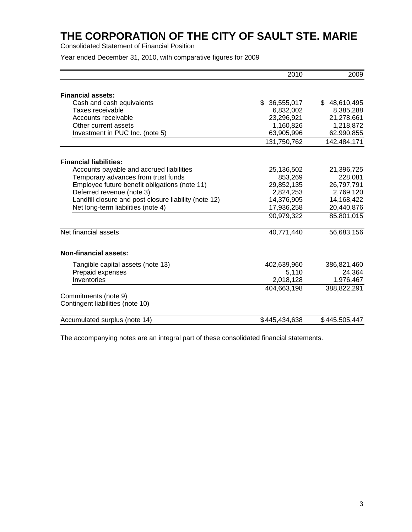Consolidated Statement of Financial Position

Year ended December 31, 2010, with comparative figures for 2009

|                                                       | 2010          | 2009          |
|-------------------------------------------------------|---------------|---------------|
|                                                       |               |               |
| <b>Financial assets:</b>                              |               |               |
| Cash and cash equivalents                             | \$36,555,017  | \$48,610,495  |
| Taxes receivable                                      | 6,832,002     | 8,385,288     |
| Accounts receivable                                   | 23,296,921    | 21,278,661    |
| Other current assets                                  | 1,160,826     | 1,218,872     |
| Investment in PUC Inc. (note 5)                       | 63,905,996    | 62,990,855    |
|                                                       | 131,750,762   | 142,484,171   |
|                                                       |               |               |
| <b>Financial liabilities:</b>                         |               |               |
| Accounts payable and accrued liabilities              | 25,136,502    | 21,396,725    |
| Temporary advances from trust funds                   | 853,269       | 228,081       |
| Employee future benefit obligations (note 11)         | 29,852,135    | 26,797,791    |
| Deferred revenue (note 3)                             | 2,824,253     | 2,769,120     |
| Landfill closure and post closure liability (note 12) | 14,376,905    | 14,168,422    |
| Net long-term liabilities (note 4)                    | 17,936,258    | 20,440,876    |
|                                                       | 90,979,322    | 85,801,015    |
| Net financial assets                                  | 40,771,440    | 56,683,156    |
| <b>Non-financial assets:</b>                          |               |               |
| Tangible capital assets (note 13)                     | 402,639,960   | 386,821,460   |
| Prepaid expenses                                      | 5,110         | 24,364        |
| Inventories                                           | 2,018,128     | 1,976,467     |
|                                                       | 404,663,198   | 388,822,291   |
| Commitments (note 9)                                  |               |               |
| Contingent liabilities (note 10)                      |               |               |
| Accumulated surplus (note 14)                         | \$445,434,638 | \$445,505,447 |

The accompanying notes are an integral part of these consolidated financial statements.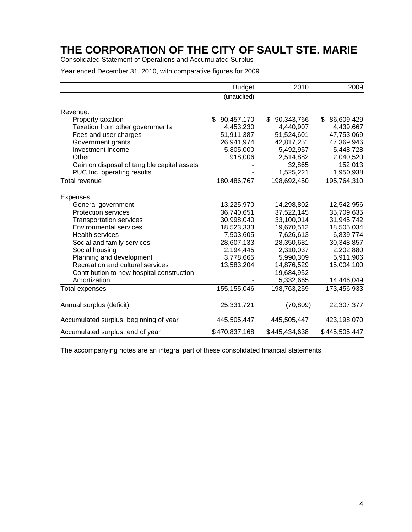Consolidated Statement of Operations and Accumulated Surplus

Year ended December 31, 2010, with comparative figures for 2009

|                                             | <b>Budget</b>    | 2010              | 2009             |
|---------------------------------------------|------------------|-------------------|------------------|
|                                             | (unaudited)      |                   |                  |
| Revenue:                                    |                  |                   |                  |
| Property taxation                           | 90,457,170<br>S. | 90,343,766<br>\$. | 86,609,429<br>£. |
| Taxation from other governments             | 4,453,230        | 4,440,907         | 4,439,667        |
| Fees and user charges                       | 51,911,387       | 51,524,601        | 47,753,069       |
| Government grants                           | 26,941,974       | 42,817,251        | 47,369,946       |
| Investment income                           | 5,805,000        | 5,492,957         | 5,448,728        |
| Other                                       | 918,006          | 2,514,882         | 2,040,520        |
| Gain on disposal of tangible capital assets |                  | 32,865            | 152,013          |
| PUC Inc. operating results                  |                  | 1,525,221         | 1,950,938        |
| Total revenue                               | 180,486,767      | 198,692,450       | 195,764,310      |
| Expenses:                                   |                  |                   |                  |
| General government                          | 13,225,970       | 14,298,802        | 12,542,956       |
| <b>Protection services</b>                  | 36,740,651       | 37,522,145        | 35,709,635       |
| <b>Transportation services</b>              | 30,998,040       | 33,100,014        | 31,945,742       |
| <b>Environmental services</b>               | 18,523,333       | 19,670,512        | 18,505,034       |
| <b>Health services</b>                      | 7,503,605        | 7,626,613         | 6,839,774        |
| Social and family services                  | 28,607,133       | 28,350,681        | 30,348,857       |
| Social housing                              | 2,194,445        | 2,310,037         | 2,202,880        |
| Planning and development                    | 3,778,665        | 5,990,309         | 5,911,906        |
| Recreation and cultural services            | 13,583,204       | 14,876,529        | 15,004,100       |
| Contribution to new hospital construction   |                  | 19,684,952        |                  |
| Amortization                                |                  | 15,332,665        | 14,446,049       |
| Total expenses                              | 155,155,046      | 198,763,259       | 173,456,933      |
| Annual surplus (deficit)                    | 25,331,721       | (70, 809)         | 22,307,377       |
| Accumulated surplus, beginning of year      | 445,505,447      | 445,505,447       | 423,198,070      |
| Accumulated surplus, end of year            | \$470,837,168    | \$445,434,638     | \$445,505,447    |

The accompanying notes are an integral part of these consolidated financial statements.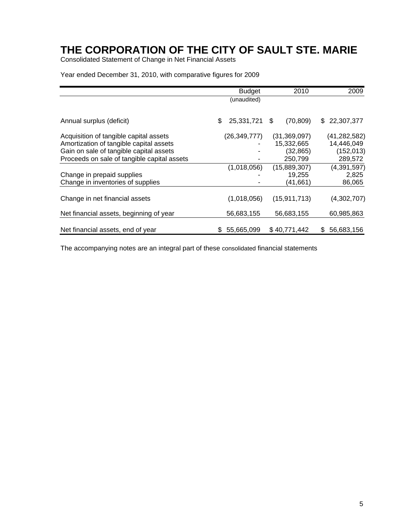Consolidated Statement of Change in Net Financial Assets

Year ended December 31, 2010, with comparative figures for 2009

|                                             |    | <b>Budget</b>  | 2010           | 2009             |
|---------------------------------------------|----|----------------|----------------|------------------|
|                                             |    | (unaudited)    |                |                  |
|                                             |    |                |                |                  |
| Annual surplus (deficit)                    | \$ | 25,331,721     | (70, 809)<br>S | 22,307,377<br>\$ |
| Acquisition of tangible capital assets      |    | (26, 349, 777) | (31, 369, 097) | (41, 282, 582)   |
| Amortization of tangible capital assets     |    |                | 15,332,665     | 14,446,049       |
| Gain on sale of tangible capital assets     |    |                | (32, 865)      | (152, 013)       |
| Proceeds on sale of tangible capital assets |    |                | 250,799        | 289,572          |
|                                             |    | (1,018,056)    | (15,889,307)   | (4, 391, 597)    |
| Change in prepaid supplies                  |    |                | 19,255         | 2,825            |
| Change in inventories of supplies           |    |                | (41,661)       | 86,065           |
| Change in net financial assets              |    | (1,018,056)    | (15, 911, 713) | (4,302,707)      |
| Net financial assets, beginning of year     |    | 56,683,155     | 56,683,155     | 60,985,863       |
| Net financial assets, end of year           | S. | 55,665,099     | \$40,771,442   | 56,683,156<br>S. |

The accompanying notes are an integral part of these consolidated financial statements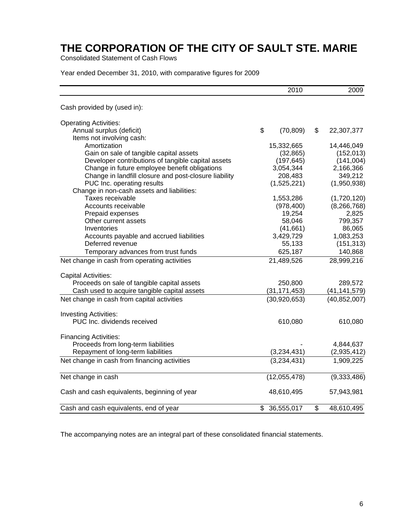Consolidated Statement of Cash Flows

Year ended December 31, 2010, with comparative figures for 2009

|                                                       | 2010            | 2009             |
|-------------------------------------------------------|-----------------|------------------|
| Cash provided by (used in):                           |                 |                  |
| <b>Operating Activities:</b>                          |                 |                  |
| Annual surplus (deficit)                              | \$<br>(70, 809) | \$<br>22,307,377 |
| Items not involving cash:                             |                 |                  |
| Amortization                                          | 15,332,665      | 14,446,049       |
| Gain on sale of tangible capital assets               | (32, 865)       | (152, 013)       |
| Developer contributions of tangible capital assets    | (197, 645)      | (141,004)        |
| Change in future employee benefit obligations         | 3,054,344       | 2,166,366        |
| Change in landfill closure and post-closure liability | 208,483         | 349,212          |
| PUC Inc. operating results                            | (1,525,221)     | (1,950,938)      |
| Change in non-cash assets and liabilities:            |                 |                  |
| Taxes receivable                                      | 1,553,286       | (1,720,120)      |
| Accounts receivable                                   | (978, 400)      | (8, 266, 768)    |
| Prepaid expenses                                      | 19,254          | 2,825            |
| Other current assets                                  | 58,046          | 799,357          |
| Inventories                                           | (41,661)        | 86,065           |
| Accounts payable and accrued liabilities              | 3,429,729       | 1,083,253        |
| Deferred revenue                                      | 55,133          | (151, 313)       |
| Temporary advances from trust funds                   | 625,187         | 140,868          |
| Net change in cash from operating activities          | 21,489,526      | 28,999,216       |
| <b>Capital Activities:</b>                            |                 |                  |
| Proceeds on sale of tangible capital assets           | 250,800         | 289,572          |
| Cash used to acquire tangible capital assets          | (31, 171, 453)  | (41, 141, 579)   |
| Net change in cash from capital activities            | (30,920,653)    | (40, 852, 007)   |
| <b>Investing Activities:</b>                          |                 |                  |
| PUC Inc. dividends received                           | 610,080         | 610,080          |
| <b>Financing Activities:</b>                          |                 |                  |
| Proceeds from long-term liabilities                   |                 | 4,844,637        |
| Repayment of long-term liabilities                    | (3, 234, 431)   | (2,935,412)      |
| Net change in cash from financing activities          | (3,234,431)     | 1,909,225        |
| Net change in cash                                    | (12,055,478)    | (9,333,486)      |
| Cash and cash equivalents, beginning of year          | 48,610,495      | 57,943,981       |
| Cash and cash equivalents, end of year                | \$36,555,017    | \$<br>48,610,495 |

The accompanying notes are an integral part of these consolidated financial statements.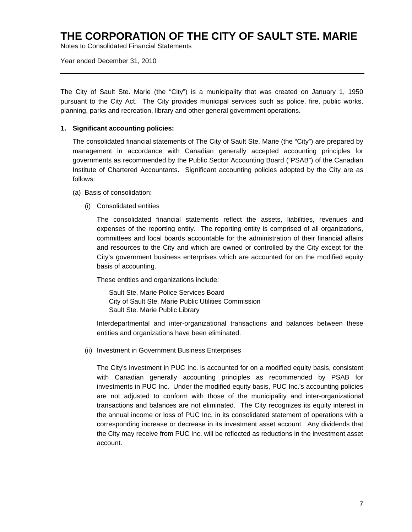Notes to Consolidated Financial Statements

Year ended December 31, 2010

The City of Sault Ste. Marie (the "City") is a municipality that was created on January 1, 1950 pursuant to the City Act. The City provides municipal services such as police, fire, public works, planning, parks and recreation, library and other general government operations.

#### **1. Significant accounting policies:**

The consolidated financial statements of The City of Sault Ste. Marie (the "City") are prepared by management in accordance with Canadian generally accepted accounting principles for governments as recommended by the Public Sector Accounting Board ("PSAB") of the Canadian Institute of Chartered Accountants. Significant accounting policies adopted by the City are as follows:

- (a) Basis of consolidation:
	- (i) Consolidated entities

 The consolidated financial statements reflect the assets, liabilities, revenues and expenses of the reporting entity. The reporting entity is comprised of all organizations, committees and local boards accountable for the administration of their financial affairs and resources to the City and which are owned or controlled by the City except for the City's government business enterprises which are accounted for on the modified equity basis of accounting.

These entities and organizations include:

 Sault Ste. Marie Police Services Board City of Sault Ste. Marie Public Utilities Commission Sault Ste. Marie Public Library

 Interdepartmental and inter-organizational transactions and balances between these entities and organizations have been eliminated.

(ii) Investment in Government Business Enterprises

The City's investment in PUC Inc. is accounted for on a modified equity basis, consistent with Canadian generally accounting principles as recommended by PSAB for investments in PUC Inc. Under the modified equity basis, PUC Inc.'s accounting policies are not adjusted to conform with those of the municipality and inter-organizational transactions and balances are not eliminated. The City recognizes its equity interest in the annual income or loss of PUC Inc. in its consolidated statement of operations with a corresponding increase or decrease in its investment asset account. Any dividends that the City may receive from PUC Inc. will be reflected as reductions in the investment asset account.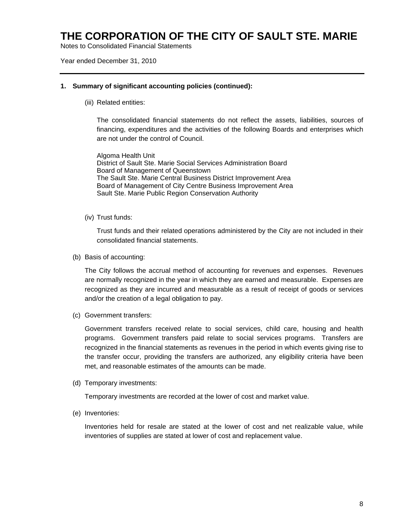Notes to Consolidated Financial Statements

Year ended December 31, 2010

#### **1. Summary of significant accounting policies (continued):**

(iii) Related entities:

 The consolidated financial statements do not reflect the assets, liabilities, sources of financing, expenditures and the activities of the following Boards and enterprises which are not under the control of Council.

 Algoma Health Unit District of Sault Ste. Marie Social Services Administration Board Board of Management of Queenstown The Sault Ste. Marie Central Business District Improvement Area Board of Management of City Centre Business Improvement Area Sault Ste. Marie Public Region Conservation Authority

(iv) Trust funds:

Trust funds and their related operations administered by the City are not included in their consolidated financial statements.

(b) Basis of accounting:

The City follows the accrual method of accounting for revenues and expenses. Revenues are normally recognized in the year in which they are earned and measurable. Expenses are recognized as they are incurred and measurable as a result of receipt of goods or services and/or the creation of a legal obligation to pay.

(c) Government transfers:

Government transfers received relate to social services, child care, housing and health programs. Government transfers paid relate to social services programs. Transfers are recognized in the financial statements as revenues in the period in which events giving rise to the transfer occur, providing the transfers are authorized, any eligibility criteria have been met, and reasonable estimates of the amounts can be made.

(d) Temporary investments:

Temporary investments are recorded at the lower of cost and market value.

(e) Inventories:

Inventories held for resale are stated at the lower of cost and net realizable value, while inventories of supplies are stated at lower of cost and replacement value.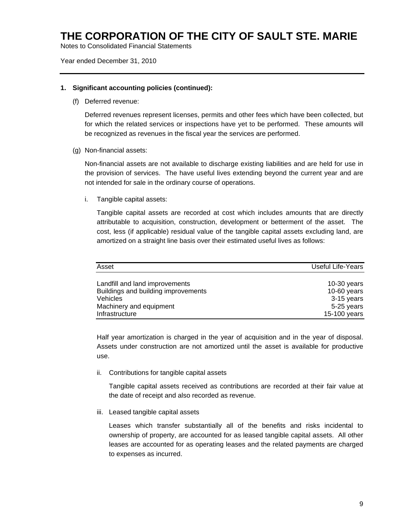Notes to Consolidated Financial Statements

Year ended December 31, 2010

#### **1. Significant accounting policies (continued):**

(f) Deferred revenue:

Deferred revenues represent licenses, permits and other fees which have been collected, but for which the related services or inspections have yet to be performed. These amounts will be recognized as revenues in the fiscal year the services are performed.

(g) Non-financial assets:

 Non-financial assets are not available to discharge existing liabilities and are held for use in the provision of services. The have useful lives extending beyond the current year and are not intended for sale in the ordinary course of operations.

i. Tangible capital assets:

Tangible capital assets are recorded at cost which includes amounts that are directly attributable to acquisition, construction, development or betterment of the asset. The cost, less (if applicable) residual value of the tangible capital assets excluding land, are amortized on a straight line basis over their estimated useful lives as follows:

| Asset                               | Useful Life-Years |
|-------------------------------------|-------------------|
| Landfill and land improvements      | $10-30$ years     |
| Buildings and building improvements | 10-60 years       |
| Vehicles                            | 3-15 years        |
| Machinery and equipment             | 5-25 years        |
| Infrastructure                      | 15-100 years      |

Half year amortization is charged in the year of acquisition and in the year of disposal. Assets under construction are not amortized until the asset is available for productive use.

ii. Contributions for tangible capital assets

Tangible capital assets received as contributions are recorded at their fair value at the date of receipt and also recorded as revenue.

iii. Leased tangible capital assets

Leases which transfer substantially all of the benefits and risks incidental to ownership of property, are accounted for as leased tangible capital assets. All other leases are accounted for as operating leases and the related payments are charged to expenses as incurred.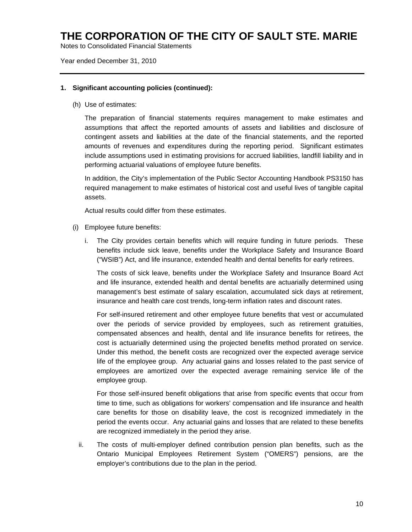Notes to Consolidated Financial Statements

Year ended December 31, 2010

#### **1. Significant accounting policies (continued):**

(h) Use of estimates:

The preparation of financial statements requires management to make estimates and assumptions that affect the reported amounts of assets and liabilities and disclosure of contingent assets and liabilities at the date of the financial statements, and the reported amounts of revenues and expenditures during the reporting period. Significant estimates include assumptions used in estimating provisions for accrued liabilities, landfill liability and in performing actuarial valuations of employee future benefits.

In addition, the City's implementation of the Public Sector Accounting Handbook PS3150 has required management to make estimates of historical cost and useful lives of tangible capital assets.

Actual results could differ from these estimates.

- (i) Employee future benefits:
	- i. The City provides certain benefits which will require funding in future periods. These benefits include sick leave, benefits under the Workplace Safety and Insurance Board ("WSIB") Act, and life insurance, extended health and dental benefits for early retirees.

 The costs of sick leave, benefits under the Workplace Safety and Insurance Board Act and life insurance, extended health and dental benefits are actuarially determined using management's best estimate of salary escalation, accumulated sick days at retirement, insurance and health care cost trends, long-term inflation rates and discount rates.

 For self-insured retirement and other employee future benefits that vest or accumulated over the periods of service provided by employees, such as retirement gratuities, compensated absences and health, dental and life insurance benefits for retirees, the cost is actuarially determined using the projected benefits method prorated on service. Under this method, the benefit costs are recognized over the expected average service life of the employee group. Any actuarial gains and losses related to the past service of employees are amortized over the expected average remaining service life of the employee group.

 For those self-insured benefit obligations that arise from specific events that occur from time to time, such as obligations for workers' compensation and life insurance and health care benefits for those on disability leave, the cost is recognized immediately in the period the events occur. Any actuarial gains and losses that are related to these benefits are recognized immediately in the period they arise.

ii. The costs of multi-employer defined contribution pension plan benefits, such as the Ontario Municipal Employees Retirement System ("OMERS") pensions, are the employer's contributions due to the plan in the period.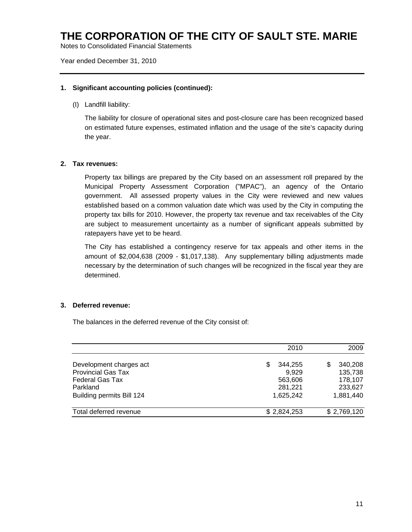Notes to Consolidated Financial Statements

Year ended December 31, 2010

#### **1. Significant accounting policies (continued):**

(I) Landfill liability:

The liability for closure of operational sites and post-closure care has been recognized based on estimated future expenses, estimated inflation and the usage of the site's capacity during the year.

#### **2. Tax revenues:**

Property tax billings are prepared by the City based on an assessment roll prepared by the Municipal Property Assessment Corporation ("MPAC"), an agency of the Ontario government. All assessed property values in the City were reviewed and new values established based on a common valuation date which was used by the City in computing the property tax bills for 2010. However, the property tax revenue and tax receivables of the City are subject to measurement uncertainty as a number of significant appeals submitted by ratepayers have yet to be heard.

The City has established a contingency reserve for tax appeals and other items in the amount of \$2,004,638 (2009 - \$1,017,138). Any supplementary billing adjustments made necessary by the determination of such changes will be recognized in the fiscal year they are determined.

#### **3. Deferred revenue:**

The balances in the deferred revenue of the City consist of:

|                           | 2010         | 2009        |
|---------------------------|--------------|-------------|
| Development charges act   | 344,255<br>S | 340,208     |
| <b>Provincial Gas Tax</b> | 9.929        | 135,738     |
| <b>Federal Gas Tax</b>    | 563,606      | 178,107     |
| Parkland                  | 281,221      | 233,627     |
| Building permits Bill 124 | 1.625.242    | 1,881,440   |
| Total deferred revenue    | \$2,824,253  | \$2,769,120 |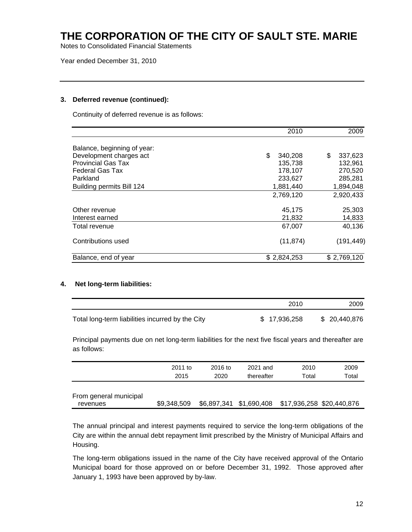Notes to Consolidated Financial Statements

Year ended December 31, 2010

#### **3. Deferred revenue (continued):**

Continuity of deferred revenue is as follows:

|                             | 2010          | 2009          |
|-----------------------------|---------------|---------------|
| Balance, beginning of year: |               |               |
| Development charges act     | \$<br>340,208 | \$<br>337,623 |
| <b>Provincial Gas Tax</b>   | 135,738       | 132,961       |
| <b>Federal Gas Tax</b>      | 178,107       | 270,520       |
| Parkland                    | 233,627       | 285,281       |
| Building permits Bill 124   | 1,881,440     | 1,894,048     |
|                             | 2,769,120     | 2,920,433     |
| Other revenue               | 45,175        | 25,303        |
| Interest earned             | 21,832        | 14,833        |
| Total revenue               | 67.007        | 40,136        |
| Contributions used          | (11, 874)     | (191, 449)    |
| Balance, end of year        | \$2,824,253   | \$2,769,120   |

### **4. Net long-term liabilities:**

|                                                  | 2010         | 2009          |
|--------------------------------------------------|--------------|---------------|
| Total long-term liabilities incurred by the City | \$17,936,258 | \$ 20,440,876 |

Principal payments due on net long-term liabilities for the next five fiscal years and thereafter are as follows:

|                                    | 2011 to     | 2016 to | 2021 and   | 2010                                              | 2009  |
|------------------------------------|-------------|---------|------------|---------------------------------------------------|-------|
|                                    | 2015        | 2020    | thereafter | Total                                             | Total |
| From general municipal<br>revenues | \$9,348,509 |         |            | \$6,897,341 \$1,690,408 \$17,936,258 \$20,440,876 |       |

The annual principal and interest payments required to service the long-term obligations of the City are within the annual debt repayment limit prescribed by the Ministry of Municipal Affairs and Housing.

The long-term obligations issued in the name of the City have received approval of the Ontario Municipal board for those approved on or before December 31, 1992. Those approved after January 1, 1993 have been approved by by-law.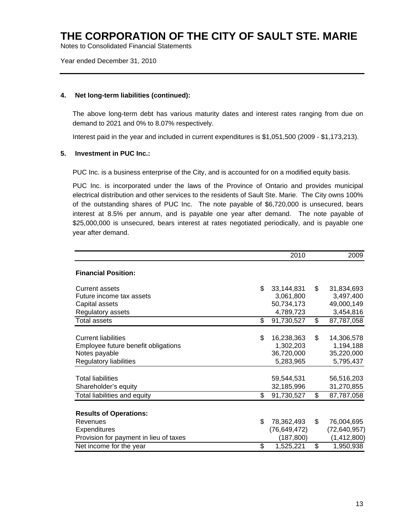Notes to Consolidated Financial Statements

#### Year ended December 31, 2010

#### **4. Net long-term liabilities (continued):**

The above long-term debt has various maturity dates and interest rates ranging from due on demand to 2021 and 0% to 8.07% respectively.

Interest paid in the year and included in current expenditures is \$1,051,500 (2009 - \$1,173,213).

#### **5. Investment in PUC Inc.:**

PUC Inc. is a business enterprise of the City, and is accounted for on a modified equity basis.

PUC Inc. is incorporated under the laws of the Province of Ontario and provides municipal electrical distribution and other services to the residents of Sault Ste. Marie. The City owns 100% of the outstanding shares of PUC Inc. The note payable of \$6,720,000 is unsecured, bears interest at 8.5% per annum, and is payable one year after demand. The note payable of \$25,000,000 is unsecured, bears interest at rates negotiated periodically, and is payable one year after demand.

|                                        | 2010             | 2009             |
|----------------------------------------|------------------|------------------|
| <b>Financial Position:</b>             |                  |                  |
| <b>Current assets</b>                  | \$<br>33,144,831 | \$<br>31,834,693 |
| Future income tax assets               | 3,061,800        | 3,497,400        |
| Capital assets                         | 50,734,173       | 49,000,149       |
| Regulatory assets                      | 4,789,723        | 3,454,816        |
| <b>Total assets</b>                    | \$<br>91,730,527 | \$<br>87,787,058 |
|                                        |                  |                  |
| <b>Current liabilities</b>             | \$<br>16,238,363 | \$<br>14,306,578 |
| Employee future benefit obligations    | 1,302,203        | 1,194,188        |
| Notes payable                          | 36,720,000       | 35,220,000       |
| <b>Regulatory liabilities</b>          | 5,283,965        | 5,795,437        |
|                                        |                  |                  |
| <b>Total liabilities</b>               | 59,544,531       | 56,516,203       |
| Shareholder's equity                   | 32,185,996       | 31,270,855       |
| Total liabilities and equity           | \$<br>91,730,527 | \$<br>87,787,058 |
| <b>Results of Operations:</b>          |                  |                  |
| Revenues                               | \$<br>78,362,493 | \$<br>76,004,695 |
| <b>Expenditures</b>                    | (76, 649, 472)   | (72,640,957)     |
| Provision for payment in lieu of taxes | (187, 800)       | (1, 412, 800)    |
| Net income for the year                | \$<br>1,525,221  | \$<br>1,950,938  |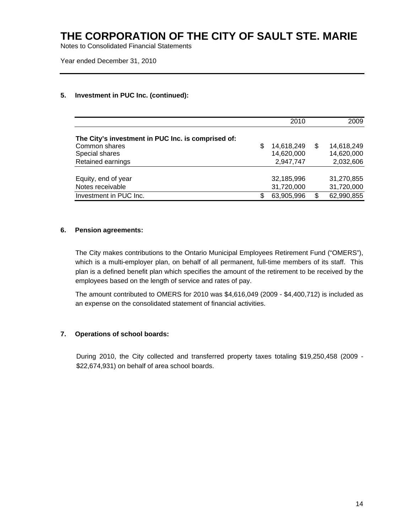Notes to Consolidated Financial Statements

Year ended December 31, 2010

#### **5. Investment in PUC Inc. (continued):**

|                                                    |     | 2010       |    | 2009       |
|----------------------------------------------------|-----|------------|----|------------|
| The City's investment in PUC Inc. is comprised of: |     |            |    |            |
| Common shares                                      | S   | 14,618,249 | S  | 14,618,249 |
| Special shares                                     |     | 14,620,000 |    | 14,620,000 |
| <b>Retained earnings</b>                           |     | 2,947,747  |    | 2,032,606  |
|                                                    |     |            |    |            |
| Equity, end of year                                |     | 32,185,996 |    | 31,270,855 |
| Notes receivable                                   |     | 31,720,000 |    | 31,720,000 |
| Investment in PUC Inc.                             | \$. | 63,905,996 | S. | 62,990,855 |

#### **6. Pension agreements:**

The City makes contributions to the Ontario Municipal Employees Retirement Fund ("OMERS"), which is a multi-employer plan, on behalf of all permanent, full-time members of its staff. This plan is a defined benefit plan which specifies the amount of the retirement to be received by the employees based on the length of service and rates of pay.

The amount contributed to OMERS for 2010 was \$4,616,049 (2009 - \$4,400,712) is included as an expense on the consolidated statement of financial activities.

### **7. Operations of school boards:**

During 2010, the City collected and transferred property taxes totaling \$19,250,458 (2009 - \$22,674,931) on behalf of area school boards.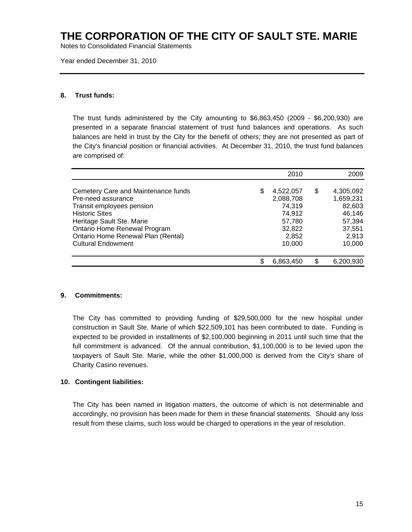Notes to Consolidated Financial Statements

Year ended December 31, 2010

#### **8. Trust funds:**

The trust funds administered by the City amounting to \$6,863,450 (2009 - \$6,200,930) are presented in a separate financial statement of trust fund balances and operations. As such balances are held in trust by the City for the benefit of others; they are not presented as part of the City's financial position or financial activities. At December 31, 2010, the trust fund balances are comprised of:

|                                     | 2010            | 2009            |
|-------------------------------------|-----------------|-----------------|
| Cemetery Care and Maintenance funds | \$<br>4,522,057 | \$<br>4,305,092 |
| Pre-need assurance                  | 2,088,708       | 1,659,231       |
| Transit employees pension           | 74,319          | 82,603          |
| <b>Historic Sites</b>               | 74,912          | 46,146          |
| Heritage Sault Ste. Marie           | 57,780          | 57,394          |
| Ontario Home Renewal Program        | 32,822          | 37,551          |
| Ontario Home Renewal Plan (Rental)  | 2,852           | 2,913           |
| <b>Cultural Endowment</b>           | 10.000          | 10,000          |
|                                     | \$<br>6.863,450 | \$<br>6,200,930 |

### **9. Commitments:**

The City has committed to providing funding of \$29,500,000 for the new hospital under construction in Sault Ste. Marie of which \$22,509,101 has been contributed to date. Funding is expected to be provided in installments of \$2,100,000 beginning in 2011 until such time that the full commitment is advanced. Of the annual contribution, \$1,100,000 is to be levied upon the taxpayers of Sault Ste. Marie, while the other \$1,000,000 is derived from the City's share of Charity Casino revenues.

### **10. Contingent liabilities:**

The City has been named in litigation matters, the outcome of which is not determinable and accordingly, no provision has been made for them in these financial statements. Should any loss result from these claims, such loss would be charged to operations in the year of resolution.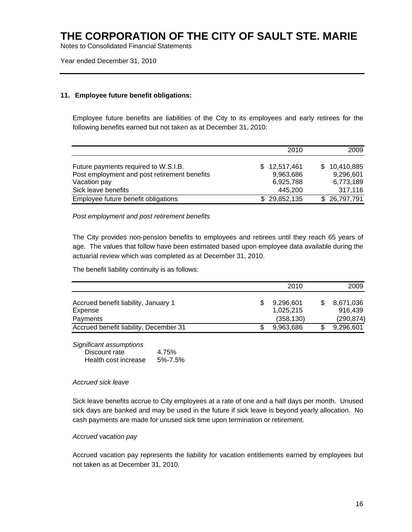Notes to Consolidated Financial Statements

Year ended December 31, 2010

#### **11. Employee future benefit obligations:**

Employee future benefits are liabilities of the City to its employees and early retirees for the following benefits earned but not taken as at December 31, 2010:

|                                                                                                      | 2010                                       | 2009                                   |
|------------------------------------------------------------------------------------------------------|--------------------------------------------|----------------------------------------|
| Future payments required to W.S.I.B.<br>Post employment and post retirement benefits<br>Vacation pay | 12,517,461<br>S.<br>9,963,686<br>6,925,788 | \$10,410,885<br>9,296,601<br>6,773,189 |
| Sick leave benefits                                                                                  | 445.200                                    | 317.116                                |
| Employee future benefit obligations                                                                  | \$29,852,135                               | \$26,797,791                           |

*Post employment and post retirement benefits* 

The City provides non-pension benefits to employees and retirees until they reach 65 years of age. The values that follow have been estimated based upon employee data available during the actuarial review which was completed as at December 31, 2010.

The benefit liability continuity is as follows:

|                                                             | 2010                                       | 2009                               |
|-------------------------------------------------------------|--------------------------------------------|------------------------------------|
| Accrued benefit liability, January 1<br>Expense<br>Payments | \$<br>9,296,601<br>1,025,215<br>(358, 130) | 8,671,036<br>916.439<br>(290, 874) |
| Accrued benefit liability, December 31                      | 9,963,686                                  | 9,296,601                          |

*Significant assumptions*  Discount rate 4.75% Health cost increase 5%-7.5%

#### *Accrued sick leave*

Sick leave benefits accrue to City employees at a rate of one and a half days per month. Unused sick days are banked and may be used in the future if sick leave is beyond yearly allocation. No cash payments are made for unused sick time upon termination or retirement.

#### *Accrued vacation pay*

Accrued vacation pay represents the liability for vacation entitlements earned by employees but not taken as at December 31, 2010.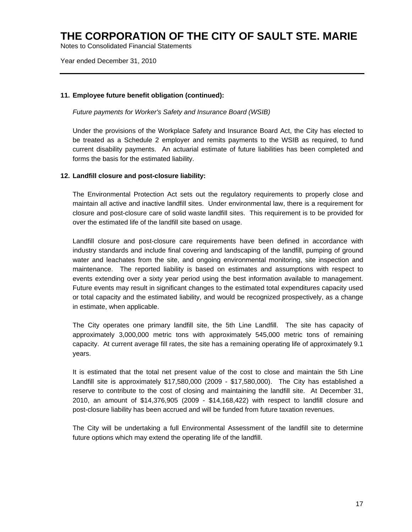Notes to Consolidated Financial Statements

Year ended December 31, 2010

### **11. Employee future benefit obligation (continued):**

*Future payments for Worker's Safety and Insurance Board (WSIB)* 

Under the provisions of the Workplace Safety and Insurance Board Act, the City has elected to be treated as a Schedule 2 employer and remits payments to the WSIB as required, to fund current disability payments. An actuarial estimate of future liabilities has been completed and forms the basis for the estimated liability.

### **12. Landfill closure and post-closure liability:**

The Environmental Protection Act sets out the regulatory requirements to properly close and maintain all active and inactive landfill sites. Under environmental law, there is a requirement for closure and post-closure care of solid waste landfill sites. This requirement is to be provided for over the estimated life of the landfill site based on usage.

Landfill closure and post-closure care requirements have been defined in accordance with industry standards and include final covering and landscaping of the landfill, pumping of ground water and leachates from the site, and ongoing environmental monitoring, site inspection and maintenance. The reported liability is based on estimates and assumptions with respect to events extending over a sixty year period using the best information available to management. Future events may result in significant changes to the estimated total expenditures capacity used or total capacity and the estimated liability, and would be recognized prospectively, as a change in estimate, when applicable.

The City operates one primary landfill site, the 5th Line Landfill. The site has capacity of approximately 3,000,000 metric tons with approximately 545,000 metric tons of remaining capacity. At current average fill rates, the site has a remaining operating life of approximately 9.1 years.

It is estimated that the total net present value of the cost to close and maintain the 5th Line Landfill site is approximately \$17,580,000 (2009 - \$17,580,000). The City has established a reserve to contribute to the cost of closing and maintaining the landfill site. At December 31, 2010, an amount of \$14,376,905 (2009 - \$14,168,422) with respect to landfill closure and post-closure liability has been accrued and will be funded from future taxation revenues.

The City will be undertaking a full Environmental Assessment of the landfill site to determine future options which may extend the operating life of the landfill.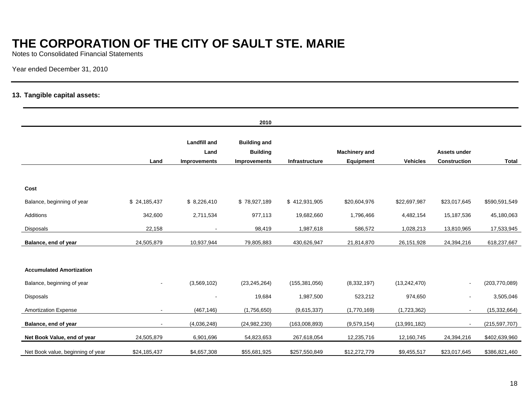Notes to Consolidated Financial Statements

Year ended December 31, 2010

## **13. Tangible capital assets:**

|                                   |              |                                                    | 2010                                                          |                 |                                          |                 |                              |                 |
|-----------------------------------|--------------|----------------------------------------------------|---------------------------------------------------------------|-----------------|------------------------------------------|-----------------|------------------------------|-----------------|
|                                   | Land         | <b>Landfill and</b><br>Land<br><b>Improvements</b> | <b>Building and</b><br><b>Building</b><br><b>Improvements</b> | Infrastructure  | <b>Machinery and</b><br><b>Equipment</b> | <b>Vehicles</b> | Assets under<br>Construction | Total           |
|                                   |              |                                                    |                                                               |                 |                                          |                 |                              |                 |
| Cost                              |              |                                                    |                                                               |                 |                                          |                 |                              |                 |
| Balance, beginning of year        | \$24,185,437 | \$8,226,410                                        | \$78,927,189                                                  | \$412,931,905   | \$20,604,976                             | \$22,697,987    | \$23,017,645                 | \$590,591,549   |
| Additions                         | 342,600      | 2,711,534                                          | 977,113                                                       | 19,682,660      | 1,796,466                                | 4,482,154       | 15,187,536                   | 45,180,063      |
| <b>Disposals</b>                  | 22,158       |                                                    | 98,419                                                        | 1,987,618       | 586,572                                  | 1,028,213       | 13,810,965                   | 17,533,945      |
| Balance, end of year              | 24,505,879   | 10,937,944                                         | 79,805,883                                                    | 430,626,947     | 21,814,870                               | 26, 151, 928    | 24,394,216                   | 618,237,667     |
|                                   |              |                                                    |                                                               |                 |                                          |                 |                              |                 |
| <b>Accumulated Amortization</b>   |              |                                                    |                                                               |                 |                                          |                 |                              |                 |
| Balance, beginning of year        |              | (3,569,102)                                        | (23, 245, 264)                                                | (155, 381, 056) | (8,332,197)                              | (13, 242, 470)  | $\sim$                       | (203, 770, 089) |
| <b>Disposals</b>                  |              |                                                    | 19,684                                                        | 1,987,500       | 523,212                                  | 974,650         |                              | 3,505,046       |
| <b>Amortization Expense</b>       |              | (467, 146)                                         | (1,756,650)                                                   | (9,615,337)     | (1,770,169)                              | (1,723,362)     |                              | (15, 332, 664)  |
| Balance, end of year              |              | (4,036,248)                                        | (24, 982, 230)                                                | (163,008,893)   | (9,579,154)                              | (13,991,182)    | $\overline{\phantom{a}}$     | (215, 597, 707) |
| Net Book Value, end of year       | 24,505,879   | 6,901,696                                          | 54,823,653                                                    | 267,618,054     | 12,235,716                               | 12,160,745      | 24,394,216                   | \$402,639,960   |
| Net Book value, beginning of year | \$24,185,437 | \$4,657,308                                        | \$55,681,925                                                  | \$257,550,849   | \$12,272,779                             | \$9,455,517     | \$23,017,645                 | \$386,821,460   |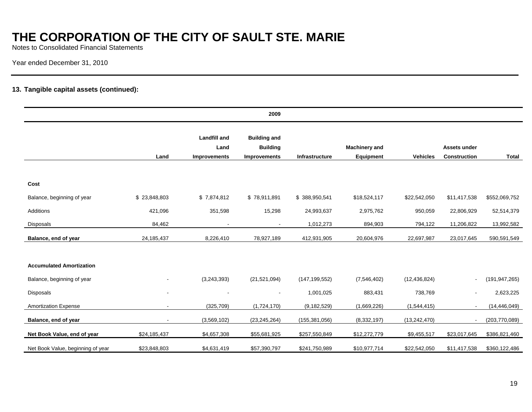Notes to Consolidated Financial Statements

Year ended December 31, 2010

### **13. Tangible capital assets (continued):**

|                                   |              |                                             | 2009                                                   |                 |                                                      |                |                              |                 |
|-----------------------------------|--------------|---------------------------------------------|--------------------------------------------------------|-----------------|------------------------------------------------------|----------------|------------------------------|-----------------|
|                                   | Land         | <b>Landfill and</b><br>Land<br>Improvements | <b>Building and</b><br><b>Building</b><br>Improvements | Infrastructure  | <b>Machinery and</b><br>Equipment<br><b>Vehicles</b> |                | Assets under<br>Construction | <b>Total</b>    |
| Cost                              |              |                                             |                                                        |                 |                                                      |                |                              |                 |
| Balance, beginning of year        | \$23,848,803 | \$7,874,812                                 | \$78,911,891                                           | \$388,950,541   | \$18,524,117                                         | \$22,542,050   | \$11,417,538                 | \$552,069,752   |
| Additions                         | 421,096      | 351,598                                     | 15,298                                                 | 24,993,637      | 2,975,762                                            | 950,059        | 22,806,929                   | 52,514,379      |
| Disposals                         | 84,462       | $\overline{\phantom{a}}$                    | $\blacksquare$                                         | 1,012,273       | 894,903                                              | 794,122        | 11,206,822                   | 13,992,582      |
| Balance, end of year              | 24, 185, 437 | 8,226,410                                   | 78,927,189                                             | 412,931,905     | 20,604,976                                           | 22,697,987     | 23,017,645                   | 590,591,549     |
|                                   |              |                                             |                                                        |                 |                                                      |                |                              |                 |
| <b>Accumulated Amortization</b>   |              |                                             |                                                        |                 |                                                      |                |                              |                 |
| Balance, beginning of year        |              | (3,243,393)                                 | (21, 521, 094)                                         | (147, 199, 552) | (7, 546, 402)                                        | (12, 436, 824) |                              | (191, 947, 265) |
| <b>Disposals</b>                  |              | $\blacksquare$                              |                                                        | 1,001,025       | 883,431                                              | 738,769        |                              | 2,623,225       |
| <b>Amortization Expense</b>       |              | (325, 709)                                  | (1,724,170)                                            | (9, 182, 529)   | (1,669,226)                                          | (1, 544, 415)  |                              | (14, 446, 049)  |
| Balance, end of year              |              | (3,569,102)                                 | (23, 245, 264)                                         | (155, 381, 056) | (8, 332, 197)                                        | (13, 242, 470) |                              | (203, 770, 089) |
| Net Book Value, end of year       | \$24,185,437 | \$4,657,308                                 | \$55,681,925                                           | \$257,550,849   | \$12,272,779                                         | \$9,455,517    | \$23,017,645                 | \$386,821,460   |
| Net Book Value, beginning of year | \$23,848,803 | \$4,631,419                                 | \$57,390,797                                           | \$241,750,989   | \$10,977,714                                         | \$22,542,050   | \$11,417,538                 | \$360,122,486   |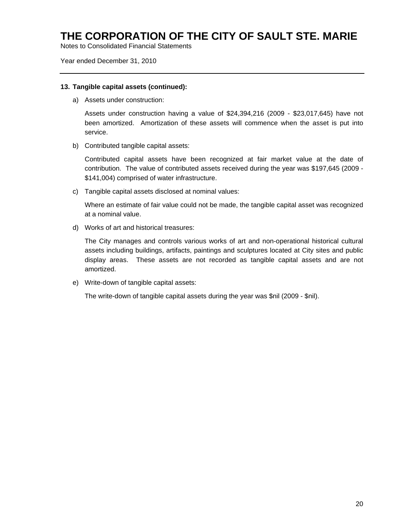Notes to Consolidated Financial Statements

Year ended December 31, 2010

#### **13. Tangible capital assets (continued):**

a) Assets under construction:

Assets under construction having a value of \$24,394,216 (2009 - \$23,017,645) have not been amortized. Amortization of these assets will commence when the asset is put into service.

b) Contributed tangible capital assets:

Contributed capital assets have been recognized at fair market value at the date of contribution. The value of contributed assets received during the year was \$197,645 (2009 - \$141,004) comprised of water infrastructure.

c) Tangible capital assets disclosed at nominal values:

Where an estimate of fair value could not be made, the tangible capital asset was recognized at a nominal value.

d) Works of art and historical treasures:

The City manages and controls various works of art and non-operational historical cultural assets including buildings, artifacts, paintings and sculptures located at City sites and public display areas. These assets are not recorded as tangible capital assets and are not amortized.

e) Write-down of tangible capital assets:

The write-down of tangible capital assets during the year was \$nil (2009 - \$nil).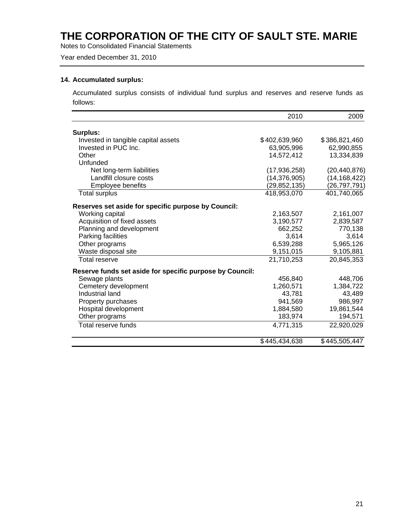Notes to Consolidated Financial Statements

### Year ended December 31, 2010

#### **14. Accumulated surplus:**

Accumulated surplus consists of individual fund surplus and reserves and reserve funds as follows:

|                                                          | 2010           | 2009           |
|----------------------------------------------------------|----------------|----------------|
| <b>Surplus:</b>                                          |                |                |
| Invested in tangible capital assets                      | \$402,639,960  | \$386,821,460  |
| Invested in PUC Inc.                                     | 63,905,996     | 62,990,855     |
| Other                                                    | 14,572,412     | 13,334,839     |
| Unfunded                                                 |                |                |
| Net long-term liabilities                                | (17,936,258)   | (20, 440, 876) |
| Landfill closure costs                                   | (14, 376, 905) | (14, 168, 422) |
| Employee benefits                                        | (29, 852, 135) | (26, 797, 791) |
| <b>Total surplus</b>                                     | 418,953,070    | 401,740,065    |
| Reserves set aside for specific purpose by Council:      |                |                |
| Working capital                                          | 2,163,507      | 2,161,007      |
| Acquisition of fixed assets                              | 3,190,577      | 2,839,587      |
| Planning and development                                 | 662,252        | 770,138        |
| Parking facilities                                       | 3,614          | 3,614          |
| Other programs                                           | 6,539,288      | 5,965,126      |
| Waste disposal site                                      | 9,151,015      | 9,105,881      |
| Total reserve                                            | 21,710,253     | 20,845,353     |
| Reserve funds set aside for specific purpose by Council: |                |                |
| Sewage plants                                            | 456,840        | 448,706        |
| Cemetery development                                     | 1,260,571      | 1,384,722      |
| Industrial land                                          | 43,781         | 43,489         |
| Property purchases                                       | 941,569        | 986,997        |
| Hospital development                                     | 1,884,580      | 19,861,544     |
| Other programs                                           | 183,974        | 194,571        |
| Total reserve funds                                      | 4,771,315      | 22,920,029     |
|                                                          | \$445,434,638  | \$445,505,447  |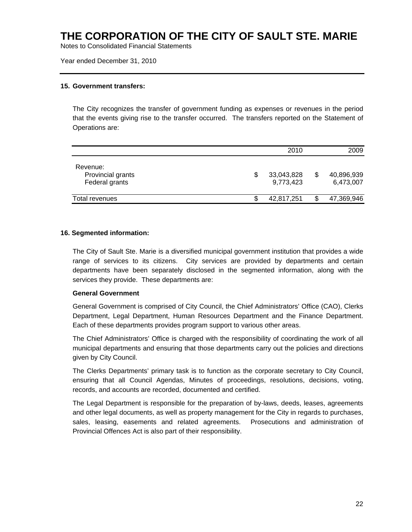Notes to Consolidated Financial Statements

Year ended December 31, 2010

#### **15. Government transfers:**

The City recognizes the transfer of government funding as expenses or revenues in the period that the events giving rise to the transfer occurred. The transfers reported on the Statement of Operations are:

|                                                 | 2010                    | 2009                          |
|-------------------------------------------------|-------------------------|-------------------------------|
| Revenue:<br>Provincial grants<br>Federal grants | 33,043,828<br>9,773,423 | \$<br>40,896,939<br>6,473,007 |
| Total revenues                                  | 42,817,251              | 47,369,946                    |

#### **16. Segmented information:**

The City of Sault Ste. Marie is a diversified municipal government institution that provides a wide range of services to its citizens. City services are provided by departments and certain departments have been separately disclosed in the segmented information, along with the services they provide. These departments are:

#### **General Government**

General Government is comprised of City Council, the Chief Administrators' Office (CAO), Clerks Department, Legal Department, Human Resources Department and the Finance Department. Each of these departments provides program support to various other areas.

The Chief Administrators' Office is charged with the responsibility of coordinating the work of all municipal departments and ensuring that those departments carry out the policies and directions given by City Council.

The Clerks Departments' primary task is to function as the corporate secretary to City Council, ensuring that all Council Agendas, Minutes of proceedings, resolutions, decisions, voting, records, and accounts are recorded, documented and certified.

The Legal Department is responsible for the preparation of by-laws, deeds, leases, agreements and other legal documents, as well as property management for the City in regards to purchases, sales, leasing, easements and related agreements. Prosecutions and administration of Provincial Offences Act is also part of their responsibility.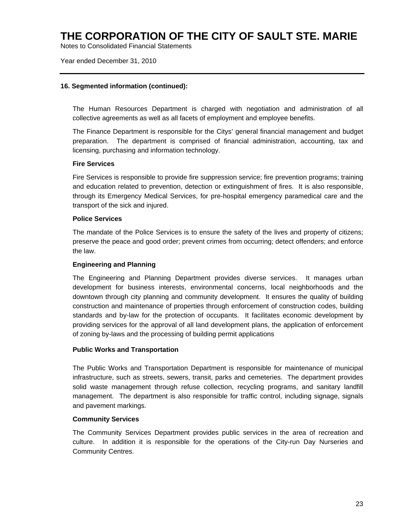Notes to Consolidated Financial Statements

Year ended December 31, 2010

#### **16. Segmented information (continued):**

The Human Resources Department is charged with negotiation and administration of all collective agreements as well as all facets of employment and employee benefits.

The Finance Department is responsible for the Citys' general financial management and budget preparation. The department is comprised of financial administration, accounting, tax and licensing, purchasing and information technology.

#### **Fire Services**

Fire Services is responsible to provide fire suppression service; fire prevention programs; training and education related to prevention, detection or extinguishment of fires. It is also responsible, through its Emergency Medical Services, for pre-hospital emergency paramedical care and the transport of the sick and injured.

#### **Police Services**

The mandate of the Police Services is to ensure the safety of the lives and property of citizens; preserve the peace and good order; prevent crimes from occurring; detect offenders; and enforce the law.

#### **Engineering and Planning**

The Engineering and Planning Department provides diverse services. It manages urban development for business interests, environmental concerns, local neighborhoods and the downtown through city planning and community development. It ensures the quality of building construction and maintenance of properties through enforcement of construction codes, building standards and by-law for the protection of occupants. It facilitates economic development by providing services for the approval of all land development plans, the application of enforcement of zoning by-laws and the processing of building permit applications

#### **Public Works and Transportation**

The Public Works and Transportation Department is responsible for maintenance of municipal infrastructure, such as streets, sewers, transit, parks and cemeteries. The department provides solid waste management through refuse collection, recycling programs, and sanitary landfill management. The department is also responsible for traffic control, including signage, signals and pavement markings.

#### **Community Services**

The Community Services Department provides public services in the area of recreation and culture. In addition it is responsible for the operations of the City-run Day Nurseries and Community Centres.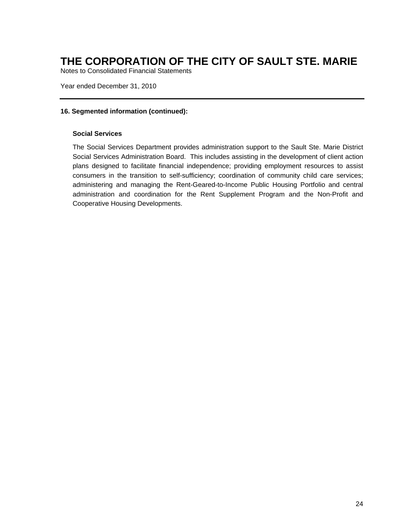Notes to Consolidated Financial Statements

Year ended December 31, 2010

#### **16. Segmented information (continued):**

#### **Social Services**

The Social Services Department provides administration support to the Sault Ste. Marie District Social Services Administration Board. This includes assisting in the development of client action plans designed to facilitate financial independence; providing employment resources to assist consumers in the transition to self-sufficiency; coordination of community child care services; administering and managing the Rent-Geared-to-Income Public Housing Portfolio and central administration and coordination for the Rent Supplement Program and the Non-Profit and Cooperative Housing Developments.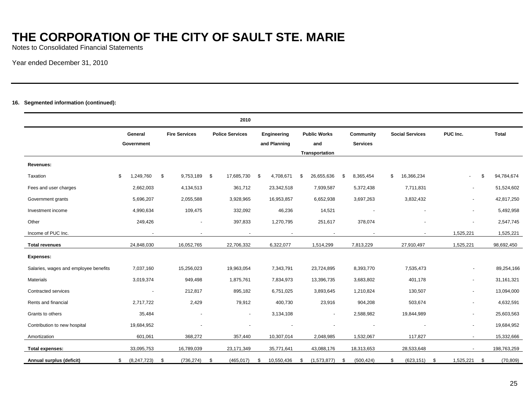Notes to Consolidated Financial Statements

Year ended December 31, 2010

#### **16. Segmented information (continued):**

|                                       |         |             |                      |            | 2010                     |    |              |     |                          |                  |    |                        |      |                          |      |              |
|---------------------------------------|---------|-------------|----------------------|------------|--------------------------|----|--------------|-----|--------------------------|------------------|----|------------------------|------|--------------------------|------|--------------|
|                                       | General |             | <b>Fire Services</b> |            | <b>Police Services</b>   |    | Engineering  |     | <b>Public Works</b>      | Community        |    | <b>Social Services</b> |      | PUC Inc.                 |      | <b>Total</b> |
|                                       |         | Government  |                      |            |                          |    | and Planning |     | and                      | <b>Services</b>  |    |                        |      |                          |      |              |
|                                       |         |             |                      |            |                          |    |              |     | Transportation           |                  |    |                        |      |                          |      |              |
| Revenues:                             |         |             |                      |            |                          |    |              |     |                          |                  |    |                        |      |                          |      |              |
| Taxation                              | \$      | 1,249,760   | \$                   | 9,753,189  | \$<br>17,685,730         | \$ | 4,708,671    | -\$ | 26,655,636               | \$<br>8,365,454  | \$ | 16,366,234             |      | $\sim$                   | \$   | 94,784,674   |
| Fees and user charges                 |         | 2,662,003   |                      | 4,134,513  | 361,712                  |    | 23,342,518   |     | 7,939,587                | 5,372,438        |    | 7,711,831              |      | $\overline{\phantom{a}}$ |      | 51,524,602   |
| Government grants                     |         | 5,696,207   |                      | 2,055,588  | 3,928,965                |    | 16,953,857   |     | 6,652,938                | 3,697,263        |    | 3,832,432              |      |                          |      | 42,817,250   |
| Investment income                     |         | 4,990,634   |                      | 109,475    | 332,092                  |    | 46,236       |     | 14,521                   | $\blacksquare$   |    |                        |      |                          |      | 5,492,958    |
| Other                                 |         | 249,426     |                      |            | 397,833                  |    | 1,270,795    |     | 251,617                  | 378,074          |    |                        |      |                          |      | 2,547,745    |
| Income of PUC Inc.                    |         |             |                      |            |                          |    |              |     |                          |                  |    |                        |      | 1,525,221                |      | 1,525,221    |
| <b>Total revenues</b>                 |         | 24,848,030  |                      | 16,052,765 | 22,706,332               |    | 6,322,077    |     | 1,514,299                | 7,813,229        |    | 27,910,497             |      | 1,525,221                |      | 98,692,450   |
| <b>Expenses:</b>                      |         |             |                      |            |                          |    |              |     |                          |                  |    |                        |      |                          |      |              |
| Salaries, wages and employee benefits |         | 7,037,160   |                      | 15,256,023 | 19,963,054               |    | 7,343,791    |     | 23,724,895               | 8,393,770        |    | 7,535,473              |      | $\overline{\phantom{a}}$ |      | 89,254,166   |
| Materials                             |         | 3,019,374   |                      | 949,498    | 1,875,761                |    | 7,834,973    |     | 13,396,735               | 3,683,802        |    | 401,178                |      |                          |      | 31,161,321   |
| Contracted services                   |         |             |                      | 212,817    | 895,182                  |    | 6,751,025    |     | 3,893,645                | 1,210,824        |    | 130,507                |      | $\blacksquare$           |      | 13,094,000   |
| Rents and financial                   |         | 2,717,722   |                      | 2,429      | 79,912                   |    | 400,730      |     | 23,916                   | 904,208          |    | 503,674                |      |                          |      | 4,632,591    |
| Grants to others                      |         | 35,484      |                      |            | $\overline{\phantom{a}}$ |    | 3,134,108    |     | $\overline{\phantom{a}}$ | 2,588,982        |    | 19,844,989             |      |                          |      | 25,603,563   |
| Contribution to new hospital          |         | 19,684,952  |                      |            |                          |    |              |     |                          | $\sim$           |    |                        |      | $\blacksquare$           |      | 19,684,952   |
| Amortization                          |         | 601,061     |                      | 368,272    | 357,440                  |    | 10,307,014   |     | 2,048,985                | 1,532,067        |    | 117,827                |      |                          |      | 15,332,666   |
| Total expenses:                       |         | 33,095,753  |                      | 16,789,039 | 23, 171, 349             |    | 35,771,641   |     | 43,088,176               | 18,313,653       |    | 28,533,648             |      |                          |      | 198,763,259  |
| Annual surplus (deficit)              | \$      | (8,247,723) | -\$                  | (736, 274) | \$<br>(465, 017)         | \$ | 10,550,436   | -\$ | (1,573,877)              | \$<br>(500, 424) | \$ | (623, 151)             | - \$ | 1,525,221                | - \$ | (70, 809)    |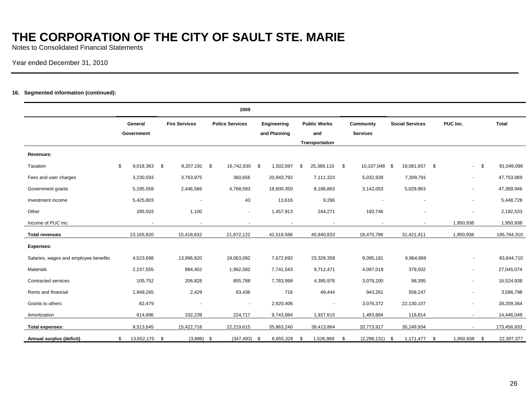Notes to Consolidated Financial Statements

### Year ended December 31, 2010

#### **16. Segmented information (continued):**

|                                       |                                               |               |                                                       |  | 2009                                         |                 |      |                              |      |                        |  |              |            |                          |      |             |
|---------------------------------------|-----------------------------------------------|---------------|-------------------------------------------------------|--|----------------------------------------------|-----------------|------|------------------------------|------|------------------------|--|--------------|------------|--------------------------|------|-------------|
|                                       | <b>Fire Services</b><br>General<br>Government |               | <b>Police Services</b><br>Engineering<br>and Planning |  | <b>Public Works</b><br>and<br>Transportation |                 |      | Community<br><b>Services</b> |      | <b>Social Services</b> |  | PUC Inc.     |            | <b>Total</b>             |      |             |
| <b>Revenues:</b>                      |                                               |               |                                                       |  |                                              |                 |      |                              |      |                        |  |              |            |                          |      |             |
| Taxation                              | \$                                            | 9,018,363 \$  | 9,207,191 \$                                          |  | 16,742,830                                   | \$<br>1,502,897 | \$   | 25,389,110                   | - \$ | 10,107,048 \$          |  | 19,081,657   | $^{\circ}$ | $-$ \$                   |      | 91,049,096  |
| Fees and user charges                 |                                               | 3,230,593     | 3,763,975                                             |  | 360,656                                      | 20,943,792      |      | 7,111,323                    |      | 5,032,939              |  | 7,309,791    |            | $\sim$                   |      | 47,753,069  |
| Government grants                     |                                               | 5,195,558     | 2,446,566                                             |  | 4,768,593                                    | 18,600,350      |      | 8,186,863                    |      | 3,142,053              |  | 5,029,963    |            |                          |      | 47,369,946  |
| Investment income                     |                                               | 5,425,803     |                                                       |  | 43                                           | 13,616          |      | 9,266                        |      |                        |  |              |            | $\sim$                   |      | 5,448,728   |
| Other                                 |                                               | 295,503       | 1,100                                                 |  | $\overline{\phantom{a}}$                     | 1,457,913       |      | 244,271                      |      | 193,746                |  |              |            | $\overline{\phantom{a}}$ |      | 2,192,533   |
| Income of PUC Inc.                    |                                               |               |                                                       |  |                                              |                 |      |                              |      |                        |  |              |            | 1,950,938                |      | 1,950,938   |
| <b>Total revenues</b>                 |                                               | 23,165,820    | 15,418,832                                            |  | 21,872,122                                   | 42,518,568      |      | 40,940,833                   |      | 18,475,786             |  | 31,421,411   |            | 1,950,938                |      | 195,764,310 |
| <b>Expenses:</b>                      |                                               |               |                                                       |  |                                              |                 |      |                              |      |                        |  |              |            |                          |      |             |
| Salaries, wages and employee benefits |                                               | 4,523,698     | 13,996,820                                            |  | 19,063,092                                   | 7,672,692       |      | 23,328,358                   |      | 8,095,181              |  | 6,964,869    |            | $\overline{\phantom{a}}$ |      | 83,644,710  |
| Materials                             |                                               | 2,237,555     | 884,402                                               |  | 1,992,582                                    | 7,741,543       |      | 9,712,471                    |      | 4,097,019              |  | 379,502      |            |                          |      | 27,045,074  |
| Contracted services                   |                                               | 105,752       | 206,828                                               |  | 855,788                                      | 7,783,999       |      | 4,395,976                    |      | 3,078,200              |  | 98,395       |            |                          |      | 16,524,938  |
| Rents and financial                   |                                               | 1,949,265     | 2,429                                                 |  | 83,436                                       | 716             |      | 49,444                       |      | 943,261                |  | 558,247      |            |                          |      | 3,586,798   |
| Grants to others                      |                                               | 82,479        |                                                       |  |                                              | 2,920,406       |      |                              |      | 3,076,372              |  | 22,130,107   |            |                          |      | 28,209,364  |
| Amortization                          |                                               | 614,896       | 332,239                                               |  | 224,717                                      | 9,743,884       |      | 1,927,615                    |      | 1,483,884              |  | 118,814      |            |                          |      | 14,446,049  |
| <b>Total expenses:</b>                |                                               | 9,513,645     | 15,422,718                                            |  | 22,219,615                                   | 35,863,240      |      | 39,413,864                   |      | 20,773,917             |  | 30,249,934   |            |                          |      | 173,456,933 |
| Annual surplus (deficit)              | \$                                            | 13,652,175 \$ | $(3,886)$ \$                                          |  | $(347, 493)$ \$                              | 6,655,328       | - \$ | 1,526,969                    | - \$ | $(2,298,131)$ \$       |  | 1,171,477 \$ |            | 1,950,938                | - \$ | 22,307,377  |